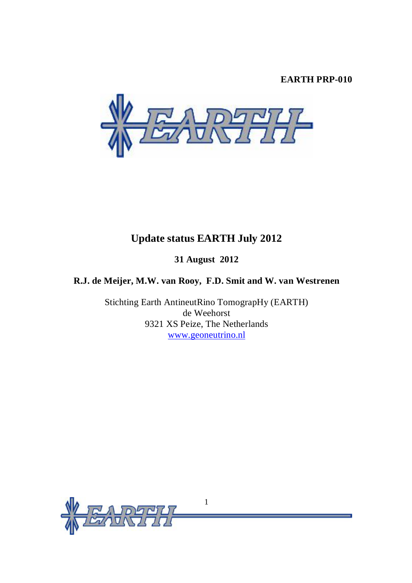## **EARTH PRP-010**



# **Update status EARTH July 2012**

## **31 August 2012**

## **R.J. de Meijer, M.W. van Rooy, F.D. Smit and W. van Westrenen**

Stichting Earth AntineutRino TomograpHy (EARTH) de Weehorst 9321 XS Peize, The Netherlands [www.geoneutrino.nl](http://www.geoneutrino.nl)

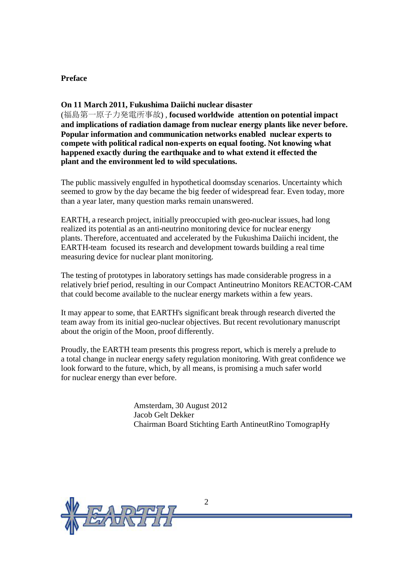## **Preface**

## **On 11 March 2011, Fukushima Daiichi nuclear disaster**

(福島第一原子力発電所事故) , **focused worldwide attention on potential impact and implications of radiation damage from nuclear energy plants like never before. Popular information and communication networks enabled nuclear experts to compete with political radical non-experts on equal footing. Not knowing what happened exactly during the earthquake and to what extend it effected the plant and the environment led to wild speculations.** 

The public massively engulfed in hypothetical doomsday scenarios. Uncertainty which seemed to grow by the day became the big feeder of widespread fear. Even today, more than a year later, many question marks remain unanswered.

EARTH, a research project, initially preoccupied with geo-nuclear issues, had long realized its potential as an anti-neutrino monitoring device for nuclear energy plants. Therefore, accentuated and accelerated by the Fukushima Daiichi incident, the EARTH-team focused its research and development towards building a real time measuring device for nuclear plant monitoring.

The testing of prototypes in laboratory settings has made considerable progress in a relatively brief period, resulting in our Compact Antineutrino Monitors REACTOR-CAM that could become available to the nuclear energy markets within a few years.

It may appear to some, that EARTH's significant break through research diverted the team away from its initial geo-nuclear objectives. But recent revolutionary manuscript about the origin of the Moon, proof differently.

Proudly, the EARTH team presents this progress report, which is merely a prelude to a total change in nuclear energy safety regulation monitoring. With great confidence we look forward to the future, which, by all means, is promising a much safer world for nuclear energy than ever before.

> Amsterdam, 30 August 2012 Jacob Gelt Dekker Chairman Board Stichting Earth AntineutRino TomograpHy

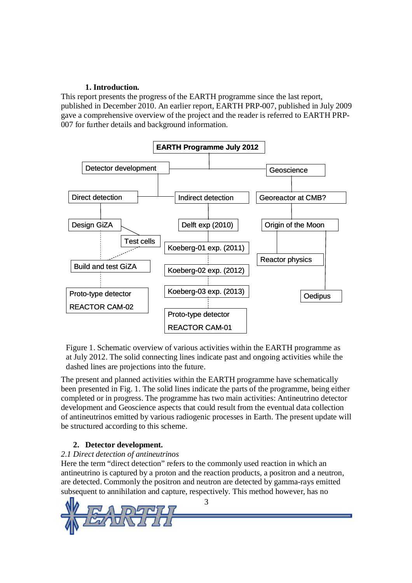## **1. Introduction.**

This report presents the progress of the EARTH programme since the last report, published in December 2010. An earlier report, EARTH PRP-007, published in July 2009 gave a comprehensive overview of the project and the reader is referred to EARTH PRP-007 for further details and background information.



Figure 1. Schematic overview of various activities within the EARTH programme as at July 2012. The solid connecting lines indicate past and ongoing activities while the dashed lines are projections into the future.

The present and planned activities within the EARTH programme have schematically been presented in Fig. 1. The solid lines indicate the parts of the programme, being either completed or in progress. The programme has two main activities: Antineutrino detector development and Geoscience aspects that could result from the eventual data collection of antineutrinos emitted by various radiogenic processes in Earth. The present update will be structured according to this scheme.

## **2. Detector development.**

## *2.1 Direct detection of antineutrinos*

Here the term "direct detection" refers to the commonly used reaction in which an antineutrino is captured by a proton and the reaction products, a positron and a neutron, are detected. Commonly the positron and neutron are detected by gamma-rays emitted subsequent to annihilation and capture, respectively. This method however, has no

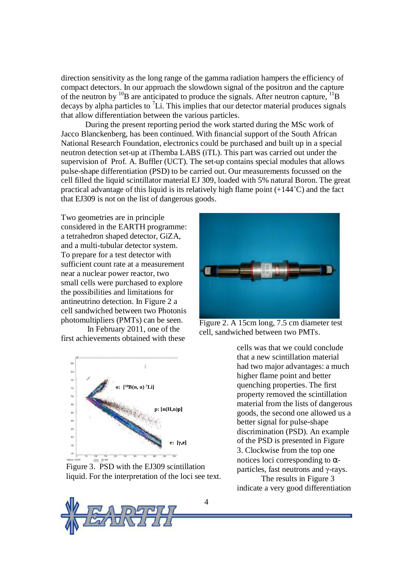direction sensitivity as the long range of the gamma radiation hampers the efficiency of compact detectors. In our approach the slowdown signal of the positron and the capture of the neutron by <sup>10</sup>B are anticipated to produce the signals. After neutron capture, <sup>11</sup>B decays by alpha particles to  ${}^{7}Li$ . This implies that our detector material produces signals that allow differentiation between the various particles.

During the present reporting period the work started during the MSc work of Jacco Blanckenberg, has been continued. With financial support of the South African National Research Foundation, electronics could be purchased and built up in a special neutron detection set-up at iThemba LABS (iTL). This part was carried out under the supervision of Prof. A. Buffler (UCT). The set-up contains special modules that allows pulse-shape differentiation (PSD) to be carried out. Our measurements focussed on the cell filled the liquid scintillator material EJ 309, loaded with 5% natural Boron. The great practical advantage of this liquid is its relatively high flame point (+144˚C) and the fact that EJ309 is not on the list of dangerous goods.

Two geometries are in principle considered in the EARTH programme: a tetrahedron shaped detector, GiZA, and a multi-tubular detector system. To prepare for a test detector with sufficient count rate at a measurement near a nuclear power reactor, two small cells were purchased to explore the possibilities and limitations for antineutrino detection. In Figure 2 a cell sandwiched between two Photonis photomultipliers (PMTs) can be seen.

In February 2011, one of the first achievements obtained with these



Figure 3. PSD with the EJ309 scintillation liquid. For the interpretation of the loci see text.





Figure 2. A 15cm long, 7.5 cm diameter test cell, sandwiched between two PMTs.

cells was that we could conclude that a new scintillation material had two major advantages: a much higher flame point and better quenching properties. The first property removed the scintillation material from the lists of dangerous goods, the second one allowed us a better signal for pulse-shape discrimination (PSD). An example of the PSD is presented in Figure 3. Clockwise from the top one notices loci corresponding to αparticles, fast neutrons and γ-rays.

The results in Figure 3 indicate a very good differentiation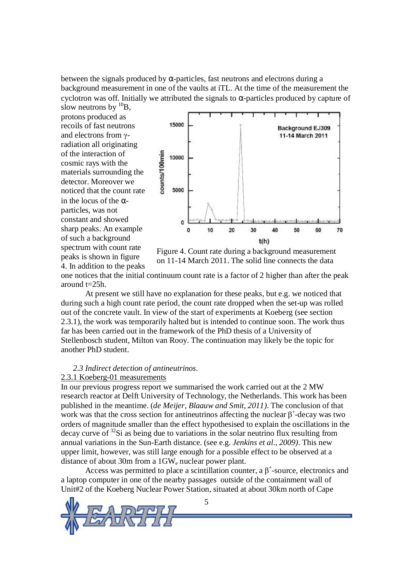between the signals produced by  $\alpha$ -particles, fast neutrons and electrons during a background measurement in one of the vaults at iTL. At the time of the measurement the cyclotron was off. Initially we attributed the signals to  $\alpha$ -particles produced by capture of

slow neutrons by  ${}^{10}B$ . protons produced as recoils of fast neutrons and electrons from γradiation all originating of the interaction of cosmic rays with the materials surrounding the detector. Moreover we noticed that the count rate in the locus of the  $\alpha$ particles, was not constant and showed sharp peaks. An example of such a background spectrum with count rate peaks is shown in figure 4. In addition to the peaks



Figure 4. Count rate during a background measurement on 11-14 March 2011. The solid line connects the data

4. In addition to the peaks<br>one notices that the initial continuum count rate is a factor of 2 higher than after the peak around t=25h.

At present we still have no explanation for these peaks, but e.g. we noticed that during such a high count rate period, the count rate dropped when the set-up was rolled out of the concrete vault. In view of the start of experiments at Koeberg (see section 2.3.1), the work was temporarily halted but is intended to continue soon. The work thus far has been carried out in the framework of the PhD thesis of a University of Stellenbosch student, Milton van Rooy. The continuation may likely be the topic for another PhD student.

#### *2.3 Indirect detection of antineutrinos.*

### 2.3.1 Koeberg-01 measurements

In our previous progress report we summarised the work carried out at the 2 MW research reactor at Delft University of Technology, the Netherlands. This work has been published in the meantime. (*de Meijer, Blaauw and Smit, 2011)*. The conclusion of that work was that the cross section for antineutrinos affecting the nuclear  $\beta^+$ -decay was two orders of magnitude smaller than the effect hypothesised to explain the oscillations in the decay curve of <sup>32</sup>Si as being due to variations in the solar neutrino flux resulting from annual variations in the Sun-Earth distance. (see e.g. *Jenkins et al., 2009)*. This new upper limit, however, was still large enough for a possible effect to be observed at a distance of about 30m from a 1GW<sup>e</sup> nuclear power plant.

Access was permitted to place a scintillation counter, a  $\beta^+$ -source, electronics and a laptop computer in one of the nearby passages outside of the containment wall of Unit#2 of the Koeberg Nuclear Power Station, situated at about 30km north of Cape

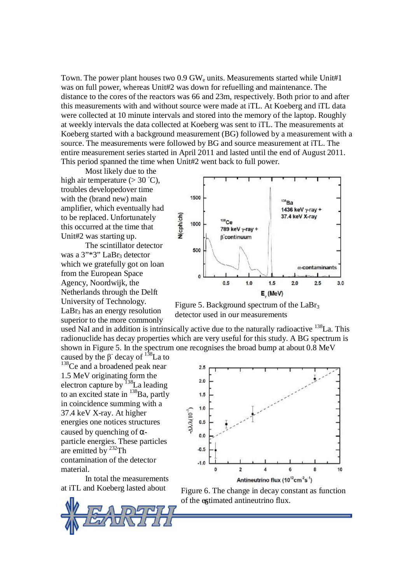Town. The power plant houses two  $0.9 \text{ GW}_e$  units. Measurements started while Unit#1 was on full power, whereas Unit#2 was down for refuelling and maintenance. The distance to the cores of the reactors was 66 and 23m, respectively. Both prior to and after this measurements with and without source were made at iTL. At Koeberg and iTL data were collected at 10 minute intervals and stored into the memory of the laptop. Roughly at weekly intervals the data collected at Koeberg was sent to iTL. The measurements at Koeberg started with a background measurement (BG) followed by a measurement with a source. The measurements were followed by BG and source measurement at iTL. The entire measurement series started in April 2011 and lasted until the end of August 2011. This period spanned the time when Unit#2 went back to full power.

Most likely due to the high air temperature  $(>30 \degree C)$ . troubles developedover time with the (brand new) main amplifier, which eventually had to be replaced. Unfortunately this occurred at the time that Unit#2 was starting up.

was a 3"\*3" LaBr<sub>3</sub> detector which we gratefully got on loan from the European Space Agency, Noordwijk, the Netherlands through the Delft University of Technology.  $LaBr<sub>3</sub>$  has an energy resolution superior to the more commonly

The scintillator detector

1500 'nа. 1436 keV y-ray + **Wcph/ch)** 37.4 keV X-ray  $138$ Ce 1000 789 keV y-ray + **B** continuum 500  $\alpha$ -contaminants  $\ddot{\text{o}}$  $0.5$  $1.0$  $1.5$  $2.0$  $2.5$  $3.0$  $E_{.}$  (MeV)

Figure 5. Background spectrum of the LaBr<sub>3</sub> detector used in our measurements

used NaI and in addition is intrinsically active due to the naturally radioactive  $^{138}$ La. This radionuclide has decay properties which are very useful for this study. A BG spectrum is shown in Figure 5. In the spectrum one recognises the broad bump at about 0.8 MeV

caused by the  $\beta$ <sup>-</sup> decay of <sup>138</sup>La to <sup>138</sup>Ce and a broadened peak near 1.5 MeV originating form the electron capture by <sup>138</sup>La leading to an excited state in  $^{138}$ Ba, partly in coincidence summing with a 37.4 keV X-ray. At higher energies one notices structures caused by quenching of  $\alpha$ particle energies. These particles are emitted by  $232$ Th contamination of the detector material.

In total the measurements at iTL and Koeberg lasted about



of the egtimated antineutrino flux. Figure 6. The change in decay constant as function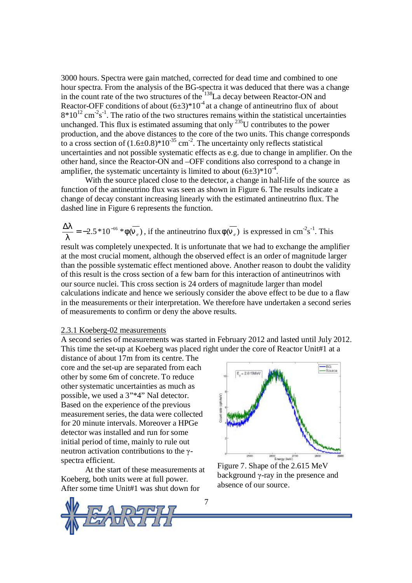3000 hours. Spectra were gain matched, corrected for dead time and combined to one hour spectra. From the analysis of the BG-spectra it was deduced that there was a change in the count rate of the two structures of the <sup>138</sup>La decay between Reactor-ON and Reactor-OFF conditions of about  $(6\pm3)^*10^4$  at a change of antineutrino flux of about  $8*10^{12}$  cm<sup>-2</sup>s<sup>-1</sup>. The ratio of the two structures remains within the statistical uncertainties unchanged. This flux is estimated assuming that only  $^{235}$ U contributes to the power production, and the above distances to the core of the two units. This change corresponds to a cross section of  $(1.6\pm 0.8)^*10^{-35}$  cm<sup>-2</sup>. The uncertainty only reflects statistical uncertainties and not possible systematic effects as e.g. due to change in amplifier. On the other hand, since the Reactor-ON and –OFF conditions also correspond to a change in amplifier, the systematic uncertainty is limited to about  $(6\pm3)^*10^{-4}$ .

With the source placed close to the detector, a change in half-life of the source as function of the antineutrino flux was seen as shown in Figure 6. The results indicate a change of decay constant increasing linearly with the estimated antineutrino flux. The dashed line in Figure 6 represents the function.

$$
\frac{\Delta I}{I} = -2.5 * 10^{-16} * f(\overline{n_e}),
$$
 if the antineutrino flux  $f(\overline{n_e})$  is expressed in cm<sup>-2</sup>s<sup>-1</sup>. This

result was completely unexpected. It is unfortunate that we had to exchange the amplifier at the most crucial moment, although the observed effect is an order of magnitude larger than the possible systematic effect mentioned above. Another reason to doubt the validity of this result is the cross section of a few barn for this interaction of antineutrinos with our source nuclei. This cross section is 24 orders of magnitude larger than model calculations indicate and hence we seriously consider the above effect to be due to a flaw in the measurements or their interpretation. We therefore have undertaken a second series of measurements to confirm or deny the above results.

### 2.3.1 Koeberg-02 measurements

A second series of measurements was started in February 2012 and lasted until July 2012. This time the set-up at Koeberg was placed right under the core of Reactor Unit#1 at a

distance of about 17m from its centre. The core and the set-up are separated from each other by some 6m of concrete. To reduce other systematic uncertainties as much as possible, we used a 3"\*4" NaI detector. Based on the experience of the previous measurement series, the data were collected for 20 minute intervals. Moreover a HPGe detector was installed and run for some initial period of time, mainly to rule out neutron activation contributions to the γspectra efficient.

At the start of these measurements at Koeberg, both units were at full power. After some time Unit#1 was shut down for



Figure 7. Shape of the 2.615 MeV background γ-ray in the presence and absence of our source.

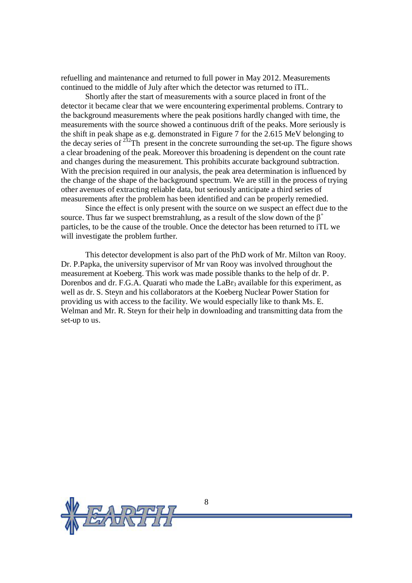refuelling and maintenance and returned to full power in May 2012. Measurements continued to the middle of July after which the detector was returned to iTL.

Shortly after the start of measurements with a source placed in front of the detector it became clear that we were encountering experimental problems. Contrary to the background measurements where the peak positions hardly changed with time, the measurements with the source showed a continuous drift of the peaks. More seriously is the shift in peak shape as e.g. demonstrated in Figure 7 for the 2.615 MeV belonging to the decay series of  $^{232}$ Th present in the concrete surrounding the set-up. The figure shows a clear broadening of the peak. Moreover this broadening is dependent on the count rate and changes during the measurement. This prohibits accurate background subtraction. With the precision required in our analysis, the peak area determination is influenced by the change of the shape of the background spectrum. We are still in the process of trying other avenues of extracting reliable data, but seriously anticipate a third series of measurements after the problem has been identified and can be properly remedied.

Since the effect is only present with the source on we suspect an effect due to the source. Thus far we suspect bremstrahlung, as a result of the slow down of the  $\beta^+$ particles, to be the cause of the trouble. Once the detector has been returned to iTL we will investigate the problem further.

This detector development is also part of the PhD work of Mr. Milton van Rooy. Dr. P.Papka, the university supervisor of Mr van Rooy was involved throughout the measurement at Koeberg. This work was made possible thanks to the help of dr. P. Dorenbos and dr. F.G.A. Quarati who made the  $LaBr<sub>3</sub>$  available for this experiment, as well as dr. S. Steyn and his collaborators at the Koeberg Nuclear Power Station for providing us with access to the facility. We would especially like to thank Ms. E. Welman and Mr. R. Steyn for their help in downloading and transmitting data from the set-up to us.

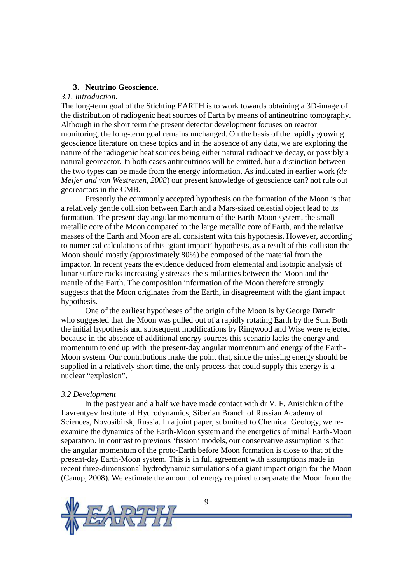#### **3. Neutrino Geoscience.**

### *3.1. Introduction.*

The long-term goal of the Stichting EARTH is to work towards obtaining a 3D-image of the distribution of radiogenic heat sources of Earth by means of antineutrino tomography. Although in the short term the present detector development focuses on reactor monitoring, the long-term goal remains unchanged. On the basis of the rapidly growing geoscience literature on these topics and in the absence of any data, we are exploring the nature of the radiogenic heat sources being either natural radioactive decay, or possibly a natural georeactor. In both cases antineutrinos will be emitted, but a distinction between the two types can be made from the energy information. As indicated in earlier work *(de Meijer and van Westrenen, 2008*) our present knowledge of geoscience can? not rule out georeactors in the CMB.

Presently the commonly accepted hypothesis on the formation of the Moon is that a relatively gentle collision between Earth and a Mars-sized celestial object lead to its formation. The present-day angular momentum of the Earth-Moon system, the small metallic core of the Moon compared to the large metallic core of Earth, and the relative masses of the Earth and Moon are all consistent with this hypothesis. However, according to numerical calculations of this 'giant impact' hypothesis, as a result of this collision the Moon should mostly (approximately 80%) be composed of the material from the impactor. In recent years the evidence deduced from elemental and isotopic analysis of lunar surface rocks increasingly stresses the similarities between the Moon and the mantle of the Earth. The composition information of the Moon therefore strongly suggests that the Moon originates from the Earth, in disagreement with the giant impact hypothesis.

One of the earliest hypotheses of the origin of the Moon is by George Darwin who suggested that the Moon was pulled out of a rapidly rotating Earth by the Sun. Both the initial hypothesis and subsequent modifications by Ringwood and Wise were rejected because in the absence of additional energy sources this scenario lacks the energy and momentum to end up with the present-day angular momentum and energy of the Earth-Moon system. Our contributions make the point that, since the missing energy should be supplied in a relatively short time, the only process that could supply this energy is a nuclear "explosion".

#### *3.2 Development*

In the past year and a half we have made contact with dr V. F. Anisichkin of the Lavrentyev Institute of Hydrodynamics, Siberian Branch of Russian Academy of Sciences, Novosibirsk, Russia. In a joint paper, submitted to Chemical Geology, we reexamine the dynamics of the Earth-Moon system and the energetics of initial Earth-Moon separation. In contrast to previous 'fission' models, our conservative assumption is that the angular momentum of the proto-Earth before Moon formation is close to that of the present-day Earth-Moon system. This is in full agreement with assumptions made in recent three-dimensional hydrodynamic simulations of a giant impact origin for the Moon (Canup, 2008). We estimate the amount of energy required to separate the Moon from the

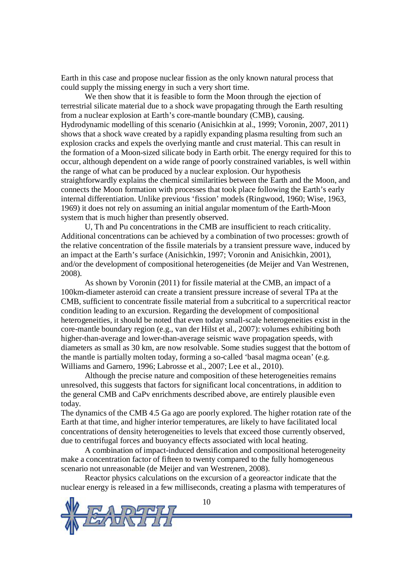Earth in this case and propose nuclear fission as the only known natural process that could supply the missing energy in such a very short time.

We then show that it is feasible to form the Moon through the ejection of terrestrial silicate material due to a shock wave propagating through the Earth resulting from a nuclear explosion at Earth's core-mantle boundary (CMB), causing. Hydrodynamic modelling of this scenario (Anisichkin at al., 1999; Voronin, 2007, 2011) shows that a shock wave created by a rapidly expanding plasma resulting from such an explosion cracks and expels the overlying mantle and crust material. This can result in the formation of a Moon-sized silicate body in Earth orbit. The energy required for this to occur, although dependent on a wide range of poorly constrained variables, is well within the range of what can be produced by a nuclear explosion. Our hypothesis straightforwardly explains the chemical similarities between the Earth and the Moon, and connects the Moon formation with processes that took place following the Earth's early internal differentiation. Unlike previous 'fission' models (Ringwood, 1960; Wise, 1963, 1969) it does not rely on assuming an initial angular momentum of the Earth-Moon system that is much higher than presently observed.

U, Th and Pu concentrations in the CMB are insufficient to reach criticality. Additional concentrations can be achieved by a combination of two processes: growth of the relative concentration of the fissile materials by a transient pressure wave, induced by an impact at the Earth's surface (Anisichkin, 1997; Voronin and Anisichkin, 2001), and/or the development of compositional heterogeneities (de Meijer and Van Westrenen, 2008).

As shown by Voronin (2011) for fissile material at the CMB, an impact of a 100km-diameter asteroid can create a transient pressure increase of several TPa at the CMB, sufficient to concentrate fissile material from a subcritical to a supercritical reactor condition leading to an excursion. Regarding the development of compositional heterogeneities, it should be noted that even today small-scale heterogeneities exist in the core-mantle boundary region (e.g., van der Hilst et al., 2007): volumes exhibiting both higher-than-average and lower-than-average seismic wave propagation speeds, with diameters as small as 30 km, are now resolvable. Some studies suggest that the bottom of the mantle is partially molten today, forming a so-called 'basal magma ocean' (e.g. Williams and Garnero, 1996; Labrosse et al., 2007; Lee et al., 2010).

Although the precise nature and composition of these heterogeneities remains unresolved, this suggests that factors for significant local concentrations, in addition to the general CMB and CaPv enrichments described above, are entirely plausible even today.

The dynamics of the CMB 4.5 Ga ago are poorly explored. The higher rotation rate of the Earth at that time, and higher interior temperatures, are likely to have facilitated local concentrations of density heterogeneities to levels that exceed those currently observed, due to centrifugal forces and buoyancy effects associated with local heating.

A combination of impact-induced densification and compositional heterogeneity make a concentration factor of fifteen to twenty compared to the fully homogeneous scenario not unreasonable (de Meijer and van Westrenen, 2008).

Reactor physics calculations on the excursion of a georeactor indicate that the nuclear energy is released in a few milliseconds, creating a plasma with temperatures of

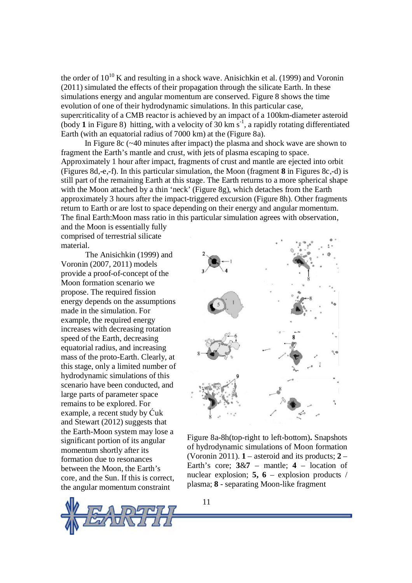the order of  $10^{10}$  K and resulting in a shock wave. Anisichkin et al. (1999) and Voronin (2011) simulated the effects of their propagation through the silicate Earth. In these simulations energy and angular momentum are conserved. Figure 8 shows the time evolution of one of their hydrodynamic simulations. In this particular case, supercriticality of a CMB reactor is achieved by an impact of a 100km-diameter asteroid (body **1** in Figure 8) hitting, with a velocity of 30 km s-1 , a rapidly rotating differentiated Earth (with an equatorial radius of 7000 km) at the (Figure 8a).

In Figure 8c (~40 minutes after impact) the plasma and shock wave are shown to fragment the Earth's mantle and crust, with jets of plasma escaping to space. Approximately 1 hour after impact, fragments of crust and mantle are ejected into orbit (Figures 8d,-e,-f). In this particular simulation, the Moon (fragment **8** in Figures 8c,-d) is still part of the remaining Earth at this stage. The Earth returns to a more spherical shape with the Moon attached by a thin 'neck' (Figure 8g), which detaches from the Earth approximately 3 hours after the impact-triggered excursion (Figure 8h). Other fragments return to Earth or are lost to space depending on their energy and angular momentum. The final Earth:Moon mass ratio in this particular simulation agrees with observation,

and the Moon is essentially fully comprised of terrestrial silicate material.

The Anisichkin (1999) and Voronin (2007, 2011) models provide a proof-of-concept of the Moon formation scenario we propose. The required fission energy depends on the assumptions made in the simulation. For example, the required energy increases with decreasing rotation speed of the Earth, decreasing equatorial radius, and increasing mass of the proto-Earth. Clearly, at this stage, only a limited number of hydrodynamic simulations of this scenario have been conducted, and large parts of parameter space remains to be explored. For example, a recent study by Ćuk and Stewart (2012) suggests that the Earth-Moon system may lose a significant portion of its angular momentum shortly after its formation due to resonances between the Moon, the Earth's core, and the Sun. If this is correct, the angular momentum constraint





Figure 8a-8h(top-right to left-bottom)**.** Snapshots of hydrodynamic simulations of Moon formation (Voronin 2011). **1** – asteroid and its products; **2** – Earth's core;  $3\&7$  – mantle;  $4$  – location of nuclear explosion; **5, 6** – explosion products / plasma; **8** - separating Moon-like fragment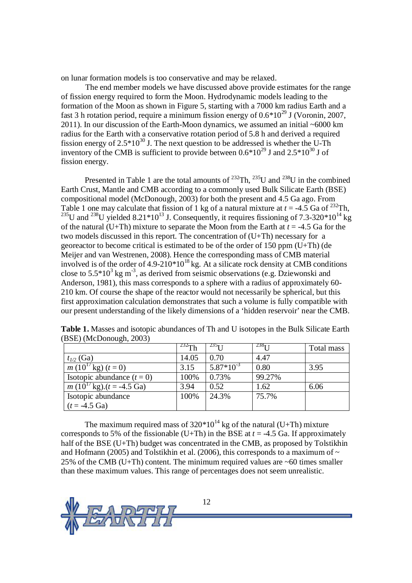on lunar formation models is too conservative and may be relaxed.

The end member models we have discussed above provide estimates for the range of fission energy required to form the Moon. Hydrodynamic models leading to the formation of the Moon as shown in Figure 5, starting with a 7000 km radius Earth and a fast 3 h rotation period, require a minimum fission energy of  $0.6*10^{29}$  J (Voronin, 2007, 2011). In our discussion of the Earth-Moon dynamics, we assumed an initial ~6000 km radius for the Earth with a conservative rotation period of 5.8 h and derived a required fission energy of  $2.5*10^{30}$  J. The next question to be addressed is whether the U-Th inventory of the CMB is sufficient to provide between  $0.6*10^{29}$  J and  $2.5*10^{30}$  J of fission energy.

Presented in Table 1 are the total amounts of  $^{232}$ Th,  $^{235}$ U and  $^{238}$ U in the combined Earth Crust, Mantle and CMB according to a commonly used Bulk Silicate Earth (BSE) compositional model (McDonough, 2003) for both the present and 4.5 Ga ago. From Table 1 one may calculate that fission of 1 kg of a natural mixture at  $t = -4.5$  Ga of <sup>232</sup>Th, <sup>235</sup>U and <sup>238</sup>U yielded 8.21\*10<sup>13</sup> J. Consequently, it requires fissioning of 7.3-320\*10<sup>14</sup> kg of the natural (U+Th) mixture to separate the Moon from the Earth at  $t = -4.5$  Ga for the two models discussed in this report. The concentration of (U+Th) necessary for a georeactor to become critical is estimated to be of the order of 150 ppm (U+Th) (de Meijer and van Westrenen, 2008). Hence the corresponding mass of CMB material involved is of the order of  $4.9-210*10^{18}$  kg. At a silicate rock density at CMB conditions close to  $5.5*10^3$  kg m<sup>-3</sup>, as derived from seismic observations (e.g. Dziewonski and Anderson, 1981), this mass corresponds to a sphere with a radius of approximately 60- 210 km. Of course the shape of the reactor would not necessarily be spherical, but this first approximation calculation demonstrates that such a volume is fully compatible with our present understanding of the likely dimensions of a 'hidden reservoir' near the CMB.

| $(D\cup L)$ ( <i>WICDOHOUgH</i> , $\angle O(U)$     |             |                |              |            |
|-----------------------------------------------------|-------------|----------------|--------------|------------|
|                                                     | $^{232}$ Th | $^{235}$ I I   | $^{238}$ I I | Total mass |
| $t_{1/2}$ (Ga)                                      | 14.05       | 0.70           | 4.47         |            |
| $\overline{m}$ (10 <sup>1</sup> /kg) (t = 0)        | 3.15        | $5.87*10^{-3}$ | 0.80         | 3.95       |
| Isotopic abundance $(t = 0)$                        | 100%        | 0.73%          | 99.27%       |            |
| $m (10^{17} \text{kg}) \cdot (t = -4.5 \text{ Ga})$ | 3.94        | 0.52           | 1.62         | 6.06       |
| Isotopic abundance                                  | 100%        | 24.3%          | 75.7%        |            |
| $(t = -4.5 \text{ Ga})$                             |             |                |              |            |

**Table 1.** Masses and isotopic abundances of Th and U isotopes in the Bulk Silicate Earth  $(RSE)$  (McDonough, 2003)

The maximum required mass of  $320*10^{14}$  kg of the natural (U+Th) mixture corresponds to 5% of the fissionable (U+Th) in the BSE at  $t = -4.5$  Ga. If approximately half of the BSE (U+Th) budget was concentrated in the CMB, as proposed by Tolstikhin and Hofmann (2005) and Tolstikhin et al. (2006), this corresponds to a maximum of  $\sim$ 25% of the CMB (U+Th) content. The minimum required values are  $\sim 60$  times smaller than these maximum values. This range of percentages does not seem unrealistic.

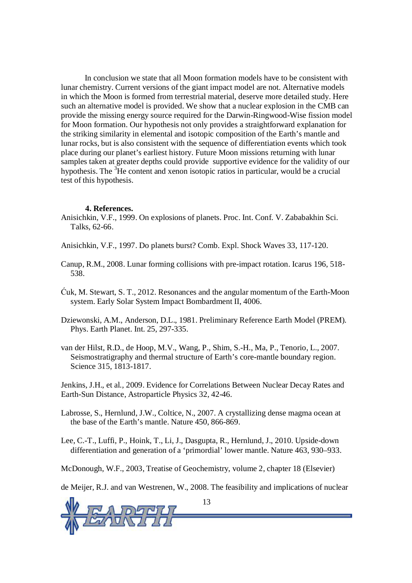In conclusion we state that all Moon formation models have to be consistent with lunar chemistry. Current versions of the giant impact model are not. Alternative models in which the Moon is formed from terrestrial material, deserve more detailed study. Here such an alternative model is provided. We show that a nuclear explosion in the CMB can provide the missing energy source required for the Darwin-Ringwood-Wise fission model for Moon formation. Our hypothesis not only provides a straightforward explanation for the striking similarity in elemental and isotopic composition of the Earth's mantle and lunar rocks, but is also consistent with the sequence of differentiation events which took place during our planet's earliest history. Future Moon missions returning with lunar samples taken at greater depths could provide supportive evidence for the validity of our hypothesis. The  ${}^{3}$ He content and xenon isotopic ratios in particular, would be a crucial test of this hypothesis.

#### **4. References.**

Anisichkin, V.F., 1999. On explosions of planets. Proc. Int. Conf. V. Zababakhin Sci. Talks, 62-66.

Anisichkin, V.F., 1997. Do planets burst? Comb. Expl. Shock Waves 33, 117-120.

- Canup, R.M., 2008. Lunar forming collisions with pre-impact rotation. Icarus 196, 518- 538.
- Ćuk, M. Stewart, S. T., 2012. Resonances and the angular momentum of the Earth-Moon system. Early Solar System Impact Bombardment II, 4006.
- Dziewonski, A.M., Anderson, D.L., 1981. Preliminary Reference Earth Model (PREM). Phys. Earth Planet. Int. 25, 297-335.
- van der Hilst, R.D., de Hoop, M.V., Wang, P., Shim, S.-H., Ma, P., Tenorio, L., 2007. Seismostratigraphy and thermal structure of Earth's core-mantle boundary region. Science 315, 1813-1817.

Jenkins, J.H., et al*.,* 2009. Evidence for Correlations Between Nuclear Decay Rates and Earth-Sun Distance, Astroparticle Physics 32, 42-46.

Labrosse, S., Hernlund, J.W., Coltice, N., 2007. A crystallizing dense magma ocean at the base of the Earth's mantle. Nature 450, 866-869.

Lee, C.-T., Luffi, P., Hoink, T., Li, J., Dasgupta, R., Hernlund, J., 2010. Upside-down differentiation and generation of a 'primordial' lower mantle. Nature 463, 930–933.

McDonough, W.F., 2003, Treatise of Geochemistry, volume 2, chapter 18 (Elsevier)

de Meijer, R.J. and van Westrenen, W., 2008. The feasibility and implications of nuclear